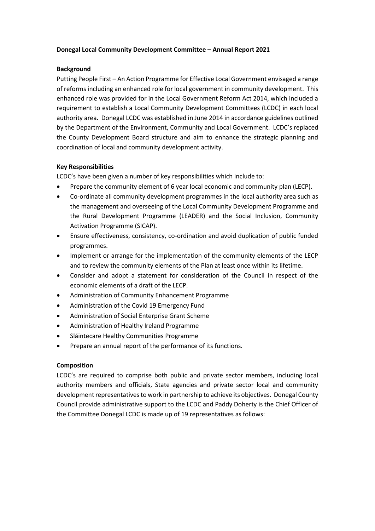#### **Donegal Local Community Development Committee – Annual Report 2021**

#### **Background**

Putting People First – An Action Programme for Effective Local Government envisaged a range of reforms including an enhanced role for local government in community development. This enhanced role was provided for in the Local Government Reform Act 2014, which included a requirement to establish a Local Community Development Committees (LCDC) in each local authority area. Donegal LCDC was established in June 2014 in accordance guidelines outlined by the Department of the Environment, Community and Local Government. LCDC's replaced the County Development Board structure and aim to enhance the strategic planning and coordination of local and community development activity.

#### **Key Responsibilities**

LCDC's have been given a number of key responsibilities which include to:

- Prepare the community element of 6 year local economic and community plan (LECP).
- Co-ordinate all community development programmes in the local authority area such as the management and overseeing of the Local Community Development Programme and the Rural Development Programme (LEADER) and the Social Inclusion, Community Activation Programme (SICAP).
- Ensure effectiveness, consistency, co-ordination and avoid duplication of public funded programmes.
- Implement or arrange for the implementation of the community elements of the LECP and to review the community elements of the Plan at least once within its lifetime.
- Consider and adopt a statement for consideration of the Council in respect of the economic elements of a draft of the LECP.
- Administration of Community Enhancement Programme
- Administration of the Covid 19 Emergency Fund
- Administration of Social Enterprise Grant Scheme
- Administration of Healthy Ireland Programme
- Sláintecare Healthy Communities Programme
- Prepare an annual report of the performance of its functions.

#### **Composition**

LCDC's are required to comprise both public and private sector members, including local authority members and officials, State agencies and private sector local and community development representatives to work in partnership to achieve its objectives. Donegal County Council provide administrative support to the LCDC and Paddy Doherty is the Chief Officer of the Committee Donegal LCDC is made up of 19 representatives as follows: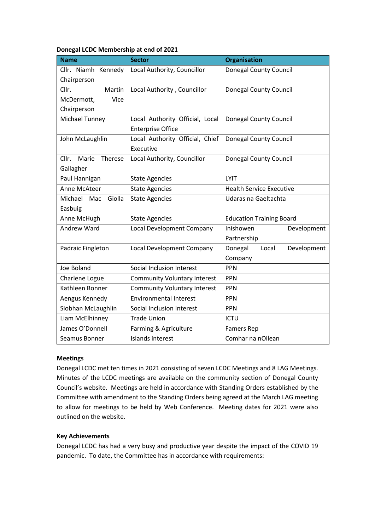#### **Donegal LCDC Membership at end of 2021**

| <b>Name</b>               | <b>Sector</b>                       | <b>Organisation</b>             |
|---------------------------|-------------------------------------|---------------------------------|
| Cllr. Niamh Kennedy       | Local Authority, Councillor         | <b>Donegal County Council</b>   |
| Chairperson               |                                     |                                 |
| Cllr.<br>Martin           | Local Authority, Councillor         | <b>Donegal County Council</b>   |
| Vice<br>McDermott,        |                                     |                                 |
| Chairperson               |                                     |                                 |
| Michael Tunney            | Local Authority Official, Local     | <b>Donegal County Council</b>   |
|                           | <b>Enterprise Office</b>            |                                 |
| John McLaughlin           | Local Authority Official, Chief     | <b>Donegal County Council</b>   |
|                           | Executive                           |                                 |
| Cllr.<br>Marie<br>Therese | Local Authority, Councillor         | <b>Donegal County Council</b>   |
| Gallagher                 |                                     |                                 |
| Paul Hannigan             | <b>State Agencies</b>               | LYIT                            |
| Anne McAteer              | <b>State Agencies</b>               | <b>Health Service Executive</b> |
| Giolla<br>Michael<br>Mac  | <b>State Agencies</b>               | Udaras na Gaeltachta            |
| Easbuig                   |                                     |                                 |
| Anne McHugh               | <b>State Agencies</b>               | <b>Education Training Board</b> |
| Andrew Ward               | Local Development Company           | Inishowen<br>Development        |
|                           |                                     | Partnership                     |
| Padraic Fingleton         | Local Development Company           | Donegal<br>Local<br>Development |
|                           |                                     | Company                         |
| Joe Boland                | Social Inclusion Interest           | <b>PPN</b>                      |
| Charlene Logue            | <b>Community Voluntary Interest</b> | <b>PPN</b>                      |
| Kathleen Bonner           | <b>Community Voluntary Interest</b> | <b>PPN</b>                      |
| Aengus Kennedy            | <b>Environmental Interest</b>       | <b>PPN</b>                      |
| Siobhan McLaughlin        | Social Inclusion Interest           | <b>PPN</b>                      |
| Liam McElhinney           | <b>Trade Union</b>                  | <b>ICTU</b>                     |
| James O'Donnell           | Farming & Agriculture               | <b>Famers Rep</b>               |
| Seamus Bonner             | Islands interest                    | Comhar na nOilean               |

#### **Meetings**

Donegal LCDC met ten times in 2021 consisting of seven LCDC Meetings and 8 LAG Meetings. Minutes of the LCDC meetings are available on the community section of Donegal County Council's website. Meetings are held in accordance with Standing Orders established by the Committee with amendment to the Standing Orders being agreed at the March LAG meeting to allow for meetings to be held by Web Conference. Meeting dates for 2021 were also outlined on the website.

#### **Key Achievements**

Donegal LCDC has had a very busy and productive year despite the impact of the COVID 19 pandemic. To date, the Committee has in accordance with requirements: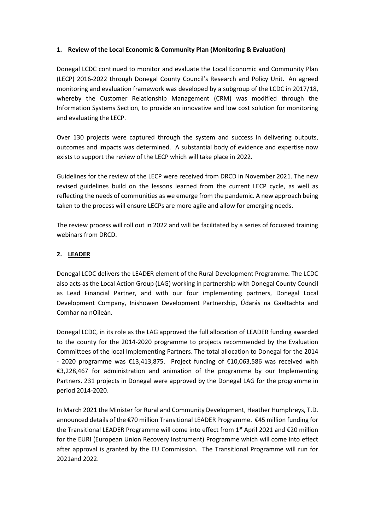# **1. Review of the Local Economic & Community Plan (Monitoring & Evaluation)**

Donegal LCDC continued to monitor and evaluate the Local Economic and Community Plan (LECP) 2016-2022 through Donegal County Council's Research and Policy Unit. An agreed monitoring and evaluation framework was developed by a subgroup of the LCDC in 2017/18, whereby the Customer Relationship Management (CRM) was modified through the Information Systems Section, to provide an innovative and low cost solution for monitoring and evaluating the LECP.

Over 130 projects were captured through the system and success in delivering outputs, outcomes and impacts was determined. A substantial body of evidence and expertise now exists to support the review of the LECP which will take place in 2022.

Guidelines for the review of the LECP were received from DRCD in November 2021. The new revised guidelines build on the lessons learned from the current LECP cycle, as well as reflecting the needs of communities as we emerge from the pandemic. A new approach being taken to the process will ensure LECPs are more agile and allow for emerging needs.

The review process will roll out in 2022 and will be facilitated by a series of focussed training webinars from DRCD.

## **2. LEADER**

Donegal LCDC delivers the LEADER element of the Rural Development Programme. The LCDC also acts as the Local Action Group (LAG) working in partnership with Donegal County Council as Lead Financial Partner, and with our four implementing partners, Donegal Local Development Company, Inishowen Development Partnership, Údarás na Gaeltachta and Comhar na nOileán.

Donegal LCDC, in its role as the LAG approved the full allocation of LEADER funding awarded to the county for the 2014-2020 programme to projects recommended by the Evaluation Committees of the local Implementing Partners. The total allocation to Donegal for the 2014 - 2020 programme was €13,413,875. Project funding of €10,063,586 was received with €3,228,467 for administration and animation of the programme by our Implementing Partners. 231 projects in Donegal were approved by the Donegal LAG for the programme in period 2014-2020.

In March 2021 the Minister for Rural and Community Development, Heather Humphreys, T.D. announced details of the €70 million Transitional LEADER Programme. €45 million funding for the Transitional LEADER Programme will come into effect from  $1<sup>st</sup>$  April 2021 and  $\epsilon$ 20 million for the EURI (European Union Recovery Instrument) Programme which will come into effect after approval is granted by the EU Commission. The Transitional Programme will run for 2021and 2022.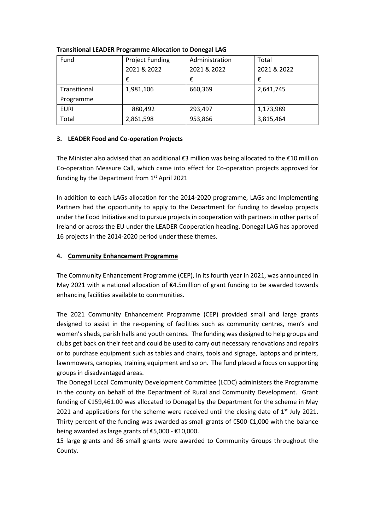| Fund         | <b>Project Funding</b> | Administration | Total       |
|--------------|------------------------|----------------|-------------|
|              | 2021 & 2022            | 2021 & 2022    | 2021 & 2022 |
|              | €                      | €              | €           |
| Transitional | 1,981,106              | 660,369        | 2,641,745   |
| Programme    |                        |                |             |
| <b>EURI</b>  | 880,492                | 293,497        | 1,173,989   |
| Total        | 2,861,598              | 953,866        | 3,815,464   |

## **Transitional LEADER Programme Allocation to Donegal LAG**

## **3. LEADER Food and Co-operation Projects**

The Minister also advised that an additional €3 million was being allocated to the €10 million Co-operation Measure Call, which came into effect for Co-operation projects approved for funding by the Department from 1<sup>st</sup> April 2021

In addition to each LAGs allocation for the 2014-2020 programme, LAGs and Implementing Partners had the opportunity to apply to the Department for funding to develop projects under the Food Initiative and to pursue projects in cooperation with partners in other parts of Ireland or across the EU under the LEADER Cooperation heading. Donegal LAG has approved 16 projects in the 2014-2020 period under these themes.

# **4. Community Enhancement Programme**

The Community Enhancement Programme (CEP), in its fourth year in 2021, was announced in May 2021 with a national allocation of €4.5million of grant funding to be awarded towards enhancing facilities available to communities.

The 2021 Community Enhancement Programme (CEP) provided small and large grants designed to assist in the re-opening of facilities such as community centres, men's and women's sheds, parish halls and youth centres. The funding was designed to help groups and clubs get back on their feet and could be used to carry out necessary renovations and repairs or to purchase equipment such as tables and chairs, tools and signage, laptops and printers, lawnmowers, canopies, training equipment and so on. The fund placed a focus on supporting groups in disadvantaged areas.

The Donegal Local Community Development Committee (LCDC) administers the Programme in the county on behalf of the Department of Rural and Community Development. Grant funding of €159,461.00 was allocated to Donegal by the Department for the scheme in May 2021 and applications for the scheme were received until the closing date of  $1<sup>st</sup>$  July 2021. Thirty percent of the funding was awarded as small grants of €500-€1,000 with the balance being awarded as large grants of €5,000 - €10,000.

15 large grants and 86 small grants were awarded to Community Groups throughout the County.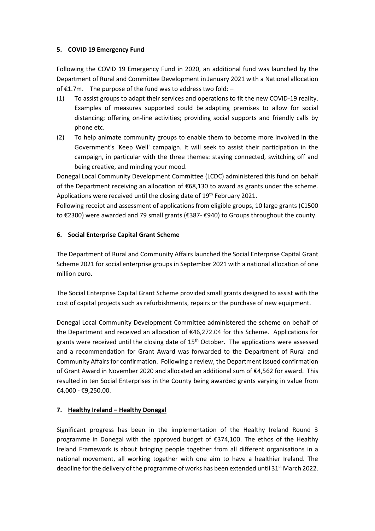# **5. COVID 19 Emergency Fund**

Following the COVID 19 Emergency Fund in 2020, an additional fund was launched by the Department of Rural and Committee Development in January 2021 with a National allocation of €1.7m. The purpose of the fund was to address two fold: –

- (1) To assist groups to adapt their services and operations to fit the new COVID-19 reality. Examples of measures supported could be adapting premises to allow for social distancing; offering on-line activities; providing social supports and friendly calls by phone etc.
- (2) To help animate community groups to enable them to become more involved in the Government's 'Keep Well' campaign. It will seek to assist their participation in the campaign, in particular with the three themes: staying connected, switching off and being creative, and minding your mood.

Donegal Local Community Development Committee (LCDC) administered this fund on behalf of the Department receiving an allocation of  $\epsilon$ 68,130 to award as grants under the scheme. Applications were received until the closing date of 19<sup>th</sup> February 2021.

Following receipt and assessment of applications from eligible groups, 10 large grants (€1500 to €2300) were awarded and 79 small grants (€387- €940) to Groups throughout the county.

# **6. Social Enterprise Capital Grant Scheme**

The Department of Rural and Community Affairs launched the Social Enterprise Capital Grant Scheme 2021 for social enterprise groups in September 2021 with a national allocation of one million euro.

The Social Enterprise Capital Grant Scheme provided small grants designed to assist with the cost of capital projects such as refurbishments, repairs or the purchase of new equipment.

Donegal Local Community Development Committee administered the scheme on behalf of the Department and received an allocation of €46,272.04 for this Scheme. Applications for grants were received until the closing date of  $15<sup>th</sup>$  October. The applications were assessed and a recommendation for Grant Award was forwarded to the Department of Rural and Community Affairs for confirmation. Following a review, the Department issued confirmation of Grant Award in November 2020 and allocated an additional sum of €4,562 for award. This resulted in ten Social Enterprises in the County being awarded grants varying in value from €4,000 - €9,250.00.

# **7. Healthy Ireland – Healthy Donegal**

Significant progress has been in the implementation of the Healthy Ireland Round 3 programme in Donegal with the approved budget of €374,100. The ethos of the Healthy Ireland Framework is about bringing people together from all different organisations in a national movement, all working together with one aim to have a healthier Ireland. The deadline for the delivery of the programme of works has been extended until  $31^{st}$  March 2022.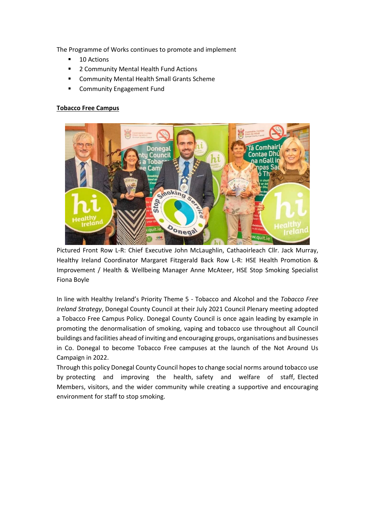The Programme of Works continues to promote and implement

- 10 Actions
- 2 Community Mental Health Fund Actions
- Community Mental Health Small Grants Scheme
- Community Engagement Fund

#### **Tobacco Free Campus**



Pictured Front Row L-R: Chief Executive John McLaughlin, Cathaoirleach Cllr. Jack Murray, Healthy Ireland Coordinator Margaret Fitzgerald Back Row L-R: HSE Health Promotion & Improvement / Health & Wellbeing Manager Anne McAteer, HSE Stop Smoking Specialist Fiona Boyle

In line with Healthy Ireland's Priority Theme 5 - Tobacco and Alcohol and the *Tobacco Free Ireland Strategy*, Donegal County Council at their July 2021 Council Plenary meeting adopted a Tobacco Free Campus Policy. Donegal County Council is once again leading by example in promoting the denormalisation of smoking, vaping and tobacco use throughout all Council buildings and facilities ahead of inviting and encouraging groups, organisations and businesses in Co. Donegal to become Tobacco Free campuses at the launch of the Not Around Us Campaign in 2022.

Through this policy Donegal County Council hopes to change social norms around tobacco use by protecting and improving the health, safety and welfare of staff, Elected Members, visitors, and the wider community while creating a supportive and encouraging environment for staff to stop smoking.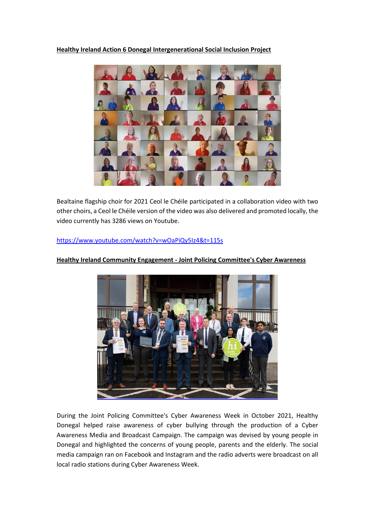## **Healthy Ireland Action 6 Donegal Intergenerational Social Inclusion Project**



Bealtaine flagship choir for 2021 Ceol le Chéile participated in a collaboration video with two other choirs, a Ceol le Chéile version of the video was also delivered and promoted locally, the video currently has 3286 views on Youtube.

# <https://www.youtube.com/watch?v=wOaPiQy5Iz4&t=115s>



## **Healthy Ireland Community Engagement - Joint Policing Committee's Cyber Awareness**

During the Joint Policing Committee's Cyber Awareness Week in October 2021, Healthy Donegal helped raise awareness of cyber bullying through the production of a Cyber Awareness Media and Broadcast Campaign. The campaign was devised by young people in Donegal and highlighted the concerns of young people, parents and the elderly. The social media campaign ran on Facebook and Instagram and the radio adverts were broadcast on all local radio stations during Cyber Awareness Week.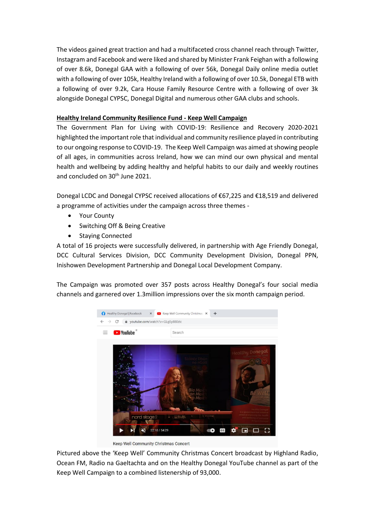The videos gained great traction and had a multifaceted cross channel reach through Twitter, Instagram and Facebook and were liked and shared by Minister Frank Feighan with a following of over 8.6k, Donegal GAA with a following of over 56k, Donegal Daily online media outlet with a following of over 105k, Healthy Ireland with a following of over 10.5k, Donegal ETB with a following of over 9.2k, Cara House Family Resource Centre with a following of over 3k alongside Donegal CYPSC, Donegal Digital and numerous other GAA clubs and schools.

## **Healthy Ireland Community Resilience Fund - Keep Well Campaign**

The Government Plan for Living with COVID-19: Resilience and Recovery 2020-2021 highlighted the important role that individual and community resilience played in contributing to our ongoing response to COVID-19. The Keep Well Campaign was aimed at showing people of all ages, in communities across Ireland, how we can mind our own physical and mental health and wellbeing by adding healthy and helpful habits to our daily and weekly routines and concluded on 30<sup>th</sup> June 2021.

Donegal LCDC and Donegal CYPSC received allocations of €67,225 and €18,519 and delivered a programme of activities under the campaign across three themes -

- Your County
- Switching Off & Being Creative
- Staying Connected

A total of 16 projects were successfully delivered, in partnership with Age Friendly Donegal, DCC Cultural Services Division, DCC Community Development Division, Donegal PPN, Inishowen Development Partnership and Donegal Local Development Company.

The Campaign was promoted over 357 posts across Healthy Donegal's four social media channels and garnered over 1.3million impressions over the six month campaign period.



Keep Well Community Christmas Concert

Pictured above the 'Keep Well' Community Christmas Concert broadcast by Highland Radio, Ocean FM, Radio na Gaeltachta and on the Healthy Donegal YouTube channel as part of the Keep Well Campaign to a combined listenership of 93,000.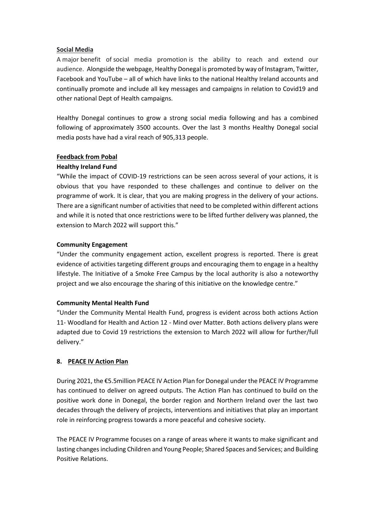#### **Social Media**

A major benefit of social media promotion is the ability to reach and extend our audience. Alongside the webpage, Healthy Donegal is promoted by way of Instagram, Twitter, Facebook and YouTube – all of which have links to the national Healthy Ireland accounts and continually promote and include all key messages and campaigns in relation to Covid19 and other national Dept of Health campaigns.

Healthy Donegal continues to grow a strong social media following and has a combined following of approximately 3500 accounts. Over the last 3 months Healthy Donegal social media posts have had a viral reach of 905,313 people.

# **Feedback from Pobal**

# **Healthy Ireland Fund**

"While the impact of COVID-19 restrictions can be seen across several of your actions, it is obvious that you have responded to these challenges and continue to deliver on the programme of work. It is clear, that you are making progress in the delivery of your actions. There are a significant number of activities that need to be completed within different actions and while it is noted that once restrictions were to be lifted further delivery was planned, the extension to March 2022 will support this."

## **Community Engagement**

"Under the community engagement action, excellent progress is reported. There is great evidence of activities targeting different groups and encouraging them to engage in a healthy lifestyle. The Initiative of a Smoke Free Campus by the local authority is also a noteworthy project and we also encourage the sharing of this initiative on the knowledge centre."

# **Community Mental Health Fund**

"Under the Community Mental Health Fund, progress is evident across both actions Action 11- Woodland for Health and Action 12 - Mind over Matter. Both actions delivery plans were adapted due to Covid 19 restrictions the extension to March 2022 will allow for further/full delivery."

# **8. PEACE IV Action Plan**

During 2021, the €5.5million PEACE IV Action Plan for Donegal under the PEACE IV Programme has continued to deliver on agreed outputs. The Action Plan has continued to build on the positive work done in Donegal, the border region and Northern Ireland over the last two decades through the delivery of projects, interventions and initiatives that play an important role in reinforcing progress towards a more peaceful and cohesive society.

The PEACE IV Programme focuses on a range of areas where it wants to make significant and lasting changes including Children and Young People; Shared Spaces and Services; and Building Positive Relations.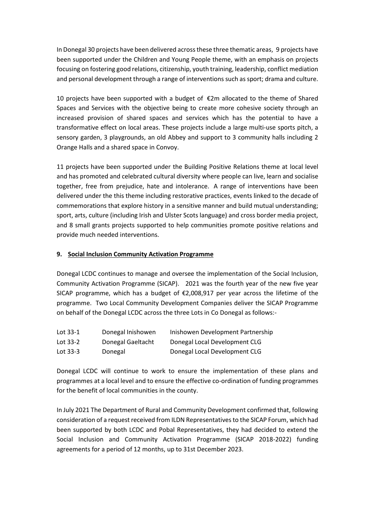In Donegal 30 projects have been delivered across these three thematic areas, 9 projects have been supported under the Children and Young People theme, with an emphasis on projects focusing on fostering good relations, citizenship, youth training, leadership, conflict mediation and personal development through a range of interventions such as sport; drama and culture.

10 projects have been supported with a budget of  $\epsilon$ 2m allocated to the theme of Shared Spaces and Services with the objective being to create more cohesive society through an increased provision of shared spaces and services which has the potential to have a transformative effect on local areas. These projects include a large multi-use sports pitch, a sensory garden, 3 playgrounds, an old Abbey and support to 3 community halls including 2 Orange Halls and a shared space in Convoy.

11 projects have been supported under the Building Positive Relations theme at local level and has promoted and celebrated cultural diversity where people can live, learn and socialise together, free from prejudice, hate and intolerance. A range of interventions have been delivered under the this theme including restorative practices, events linked to the decade of commemorations that explore history in a sensitive manner and build mutual understanding; sport, arts, culture (including Irish and Ulster Scots language) and cross border media project, and 8 small grants projects supported to help communities promote positive relations and provide much needed interventions.

# **9. Social Inclusion Community Activation Programme**

Donegal LCDC continues to manage and oversee the implementation of the Social Inclusion, Community Activation Programme (SICAP). 2021 was the fourth year of the new five year SICAP programme, which has a budget of €2,008,917 per year across the lifetime of the programme. Two Local Community Development Companies deliver the SICAP Programme on behalf of the Donegal LCDC across the three Lots in Co Donegal as follows:-

| Lot 33-1 | Donegal Inishowen | Inishowen Development Partnership |
|----------|-------------------|-----------------------------------|
| Lot 33-2 | Donegal Gaeltacht | Donegal Local Development CLG     |
| Lot 33-3 | Donegal           | Donegal Local Development CLG     |

Donegal LCDC will continue to work to ensure the implementation of these plans and programmes at a local level and to ensure the effective co-ordination of funding programmes for the benefit of local communities in the county.

In July 2021 The Department of Rural and Community Development confirmed that, following consideration of a request received from ILDN Representatives to the SICAP Forum, which had been supported by both LCDC and Pobal Representatives, they had decided to extend the Social Inclusion and Community Activation Programme (SICAP 2018-2022) funding agreements for a period of 12 months, up to 31st December 2023.